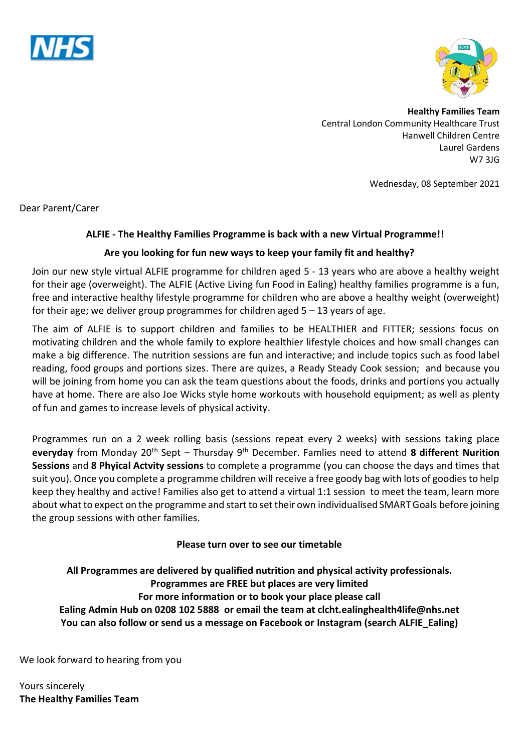



**Healthy Families Team** Central London Community Healthcare Trust Hanwell Children Centre Laurel Gardens W7 3JG

Wednesday, 08 September 2021

Dear Parent/Carer

## **ALFIE - The Healthy Families Programme is back with a new Virtual Programme!!**

## **Are you looking for fun new ways to keep your family fit and healthy?**

Join our new style virtual ALFIE programme for children aged 5 - 13 years who are above a healthy weight for their age (overweight). The ALFIE (Active Living fun Food in Ealing) healthy families programme is a fun, free and interactive healthy lifestyle programme for children who are above a healthy weight (overweight) for their age; we deliver group programmes for children aged  $5 - 13$  years of age.

The aim of ALFIE is to support children and families to be HEALTHIER and FITTER; sessions focus on motivating children and the whole family to explore healthier lifestyle choices and how small changes can make a big difference. The nutrition sessions are fun and interactive; and include topics such as food label reading, food groups and portions sizes. There are quizes, a Ready Steady Cook session; and because you will be joining from home you can ask the team questions about the foods, drinks and portions you actually have at home. There are also Joe Wicks style home workouts with household equipment; as well as plenty of fun and games to increase levels of physical activity.

Programmes run on a 2 week rolling basis (sessions repeat every 2 weeks) with sessions taking place **everyday** from Monday 20th Sept – Thursday 9th December. Famlies need to attend **8 different Nurition Sessions** and **8 Phyical Actvity sessions** to complete a programme (you can choose the days and times that suit you). Once you complete a programme children will receive a free goody bag with lots of goodies to help keep they healthy and active! Families also get to attend a virtual 1:1 session to meet the team, learn more about what to expect on the programme and start to set their own individualised SMART Goals before joining the group sessions with other families.

## **Please turn over to see our timetable**

**All Programmes are delivered by qualified nutrition and physical activity professionals. Programmes are FREE but places are very limited For more information or to book your place please call Ealing Admin Hub on 0208 102 5888 or email the team at clcht.ealinghealth4life@nhs.net You can also follow or send us a message on Facebook or Instagram (search ALFIE\_Ealing)**

We look forward to hearing from you

Yours sincerely **The Healthy Families Team**